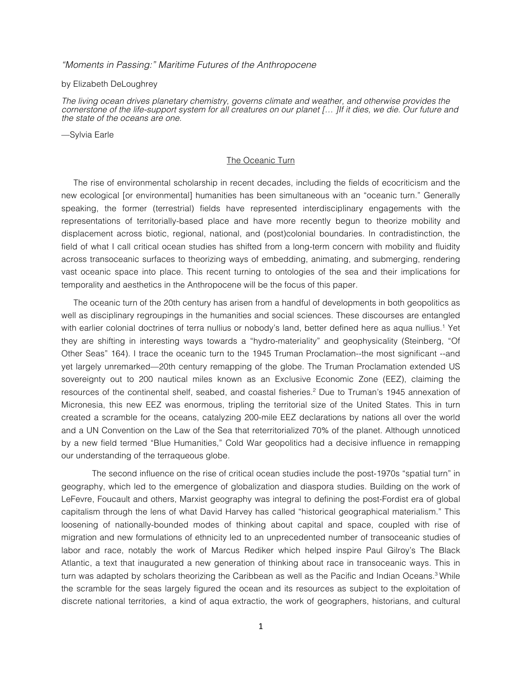## *"Moments in Passing:" Maritime Futures of the Anthropocene*

## by Elizabeth DeLoughrey

*The living ocean drives planetary chemistry, governs climate and weather, and otherwise provides the cornerstone of the life-support system for all creatures on our planet [… ]If it dies, we die. Our future and the state of the oceans are one.*

—Sylvia Earle

## The Oceanic Turn

The rise of environmental scholarship in recent decades, including the fields of ecocriticism and the new ecological [or environmental] humanities has been simultaneous with an "oceanic turn." Generally speaking, the former (terrestrial) fields have represented interdisciplinary engagements with the representations of territorially-based place and have more recently begun to theorize mobility and displacement across biotic, regional, national, and (post)colonial boundaries. In contradistinction, the field of what I call critical ocean studies has shifted from a long-term concern with mobility and fluidity across transoceanic surfaces to theorizing ways of embedding, animating, and submerging, rendering vast oceanic space into place. This recent turning to ontologies of the sea and their implications for temporality and aesthetics in the Anthropocene will be the focus of this paper.

The oceanic turn of the 20th century has arisen from a handful of developments in both geopolitics as well as disciplinary regroupings in the humanities and social sciences. These discourses are entangled with earlier colonial doctrines of terra nullius or nobody's land, better defined here as aqua nullius.<sup>1</sup> Yet they are shifting in interesting ways towards a "hydro-materiality" and geophysicality (Steinberg, "Of Other Seas" 164). I trace the oceanic turn to the 1945 Truman Proclamation--the most significant --and yet largely unremarked—20th century remapping of the globe. The Truman Proclamation extended US sovereignty out to 200 nautical miles known as an Exclusive Economic Zone (EEZ), claiming the resources of the continental shelf, seabed, and coastal fisheries. 2 Due to Truman's 1945 annexation of Micronesia, this new EEZ was enormous, tripling the territorial size of the United States. This in turn created a scramble for the oceans, catalyzing 200-mile EEZ declarations by nations all over the world and a UN Convention on the Law of the Sea that reterritorialized 70% of the planet. Although unnoticed by a new field termed "Blue Humanities," Cold War geopolitics had a decisive influence in remapping our understanding of the terraqueous globe.

The second influence on the rise of critical ocean studies include the post-1970s "spatial turn" in geography, which led to the emergence of globalization and diaspora studies. Building on the work of LeFevre, Foucault and others, Marxist geography was integral to defining the post-Fordist era of global capitalism through the lens of what David Harvey has called "historical geographical materialism." This loosening of nationally-bounded modes of thinking about capital and space, coupled with rise of migration and new formulations of ethnicity led to an unprecedented number of transoceanic studies of labor and race, notably the work of Marcus Rediker which helped inspire Paul Gilroy's The Black Atlantic, a text that inaugurated a new generation of thinking about race in transoceanic ways. This in turn was adapted by scholars theorizing the Caribbean as well as the Pacific and Indian Oceans.<sup>3</sup> While the scramble for the seas largely figured the ocean and its resources as subject to the exploitation of discrete national territories, a kind of aqua extractio, the work of geographers, historians, and cultural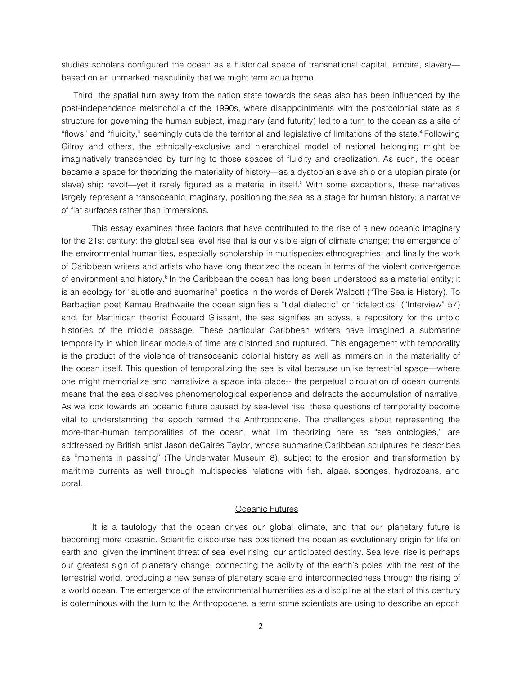studies scholars configured the ocean as a historical space of transnational capital, empire, slavery based on an unmarked masculinity that we might term aqua homo.

Third, the spatial turn away from the nation state towards the seas also has been influenced by the post-independence melancholia of the 1990s, where disappointments with the postcolonial state as a structure for governing the human subject, imaginary (and futurity) led to a turn to the ocean as a site of "flows" and "fluidity," seemingly outside the territorial and legislative of limitations of the state.4 Following Gilroy and others, the ethnically-exclusive and hierarchical model of national belonging might be imaginatively transcended by turning to those spaces of fluidity and creolization. As such, the ocean became a space for theorizing the materiality of history—as a dystopian slave ship or a utopian pirate (or slave) ship revolt—yet it rarely figured as a material in itself. <sup>5</sup> With some exceptions, these narratives largely represent a transoceanic imaginary, positioning the sea as a stage for human history; a narrative of flat surfaces rather than immersions.

This essay examines three factors that have contributed to the rise of a new oceanic imaginary for the 21st century: the global sea level rise that is our visible sign of climate change; the emergence of the environmental humanities, especially scholarship in multispecies ethnographies; and finally the work of Caribbean writers and artists who have long theorized the ocean in terms of the violent convergence of environment and history.<sup>6</sup> In the Caribbean the ocean has long been understood as a material entity; it is an ecology for "subtle and submarine" poetics in the words of Derek Walcott ("The Sea is History). To Barbadian poet Kamau Brathwaite the ocean signifies a "tidal dialectic" or "tidalectics" ("Interview" 57) and, for Martinican theorist Édouard Glissant, the sea signifies an abyss, a repository for the untold histories of the middle passage. These particular Caribbean writers have imagined a submarine temporality in which linear models of time are distorted and ruptured. This engagement with temporality is the product of the violence of transoceanic colonial history as well as immersion in the materiality of the ocean itself. This question of temporalizing the sea is vital because unlike terrestrial space—where one might memorialize and narrativize a space into place-- the perpetual circulation of ocean currents means that the sea dissolves phenomenological experience and defracts the accumulation of narrative. As we look towards an oceanic future caused by sea-level rise, these questions of temporality become vital to understanding the epoch termed the Anthropocene. The challenges about representing the more-than-human temporalities of the ocean, what I'm theorizing here as "sea ontologies," are addressed by British artist Jason deCaires Taylor, whose submarine Caribbean sculptures he describes as "moments in passing" (The Underwater Museum 8), subject to the erosion and transformation by maritime currents as well through multispecies relations with fish, algae, sponges, hydrozoans, and coral.

#### Oceanic Futures

It is a tautology that the ocean drives our global climate, and that our planetary future is becoming more oceanic. Scientific discourse has positioned the ocean as evolutionary origin for life on earth and, given the imminent threat of sea level rising, our anticipated destiny. Sea level rise is perhaps our greatest sign of planetary change, connecting the activity of the earth's poles with the rest of the terrestrial world, producing a new sense of planetary scale and interconnectedness through the rising of a world ocean. The emergence of the environmental humanities as a discipline at the start of this century is coterminous with the turn to the Anthropocene, a term some scientists are using to describe an epoch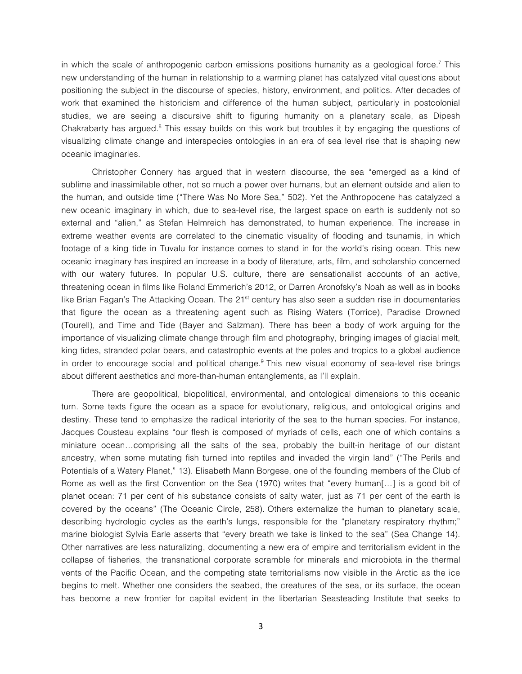in which the scale of anthropogenic carbon emissions positions humanity as a geological force.<sup>7</sup> This new understanding of the human in relationship to a warming planet has catalyzed vital questions about positioning the subject in the discourse of species, history, environment, and politics. After decades of work that examined the historicism and difference of the human subject, particularly in postcolonial studies, we are seeing a discursive shift to figuring humanity on a planetary scale, as Dipesh Chakrabarty has argued.<sup>8</sup> This essay builds on this work but troubles it by engaging the questions of visualizing climate change and interspecies ontologies in an era of sea level rise that is shaping new oceanic imaginaries.

Christopher Connery has argued that in western discourse, the sea "emerged as a kind of sublime and inassimilable other, not so much a power over humans, but an element outside and alien to the human, and outside time ("There Was No More Sea," 502). Yet the Anthropocene has catalyzed a new oceanic imaginary in which, due to sea-level rise, the largest space on earth is suddenly not so external and "alien," as Stefan Helmreich has demonstrated, to human experience. The increase in extreme weather events are correlated to the cinematic visuality of flooding and tsunamis, in which footage of a king tide in Tuvalu for instance comes to stand in for the world's rising ocean. This new oceanic imaginary has inspired an increase in a body of literature, arts, film, and scholarship concerned with our watery futures. In popular U.S. culture, there are sensationalist accounts of an active, threatening ocean in films like Roland Emmerich's 2012, or Darren Aronofsky's Noah as well as in books like Brian Fagan's The Attacking Ocean. The 21<sup>st</sup> century has also seen a sudden rise in documentaries that figure the ocean as a threatening agent such as Rising Waters (Torrice), Paradise Drowned (Tourell), and Time and Tide (Bayer and Salzman). There has been a body of work arguing for the importance of visualizing climate change through film and photography, bringing images of glacial melt, king tides, stranded polar bears, and catastrophic events at the poles and tropics to a global audience in order to encourage social and political change. <sup>9</sup> This new visual economy of sea-level rise brings about different aesthetics and more-than-human entanglements, as I'll explain.

There are geopolitical, biopolitical, environmental, and ontological dimensions to this oceanic turn. Some texts figure the ocean as a space for evolutionary, religious, and ontological origins and destiny. These tend to emphasize the radical interiority of the sea to the human species. For instance, Jacques Cousteau explains "our flesh is composed of myriads of cells, each one of which contains a miniature ocean…comprising all the salts of the sea, probably the built-in heritage of our distant ancestry, when some mutating fish turned into reptiles and invaded the virgin land" ("The Perils and Potentials of a Watery Planet," 13). Elisabeth Mann Borgese, one of the founding members of the Club of Rome as well as the first Convention on the Sea (1970) writes that "every human[…] is a good bit of planet ocean: 71 per cent of his substance consists of salty water, just as 71 per cent of the earth is covered by the oceans" (The Oceanic Circle, 258). Others externalize the human to planetary scale, describing hydrologic cycles as the earth's lungs, responsible for the "planetary respiratory rhythm;" marine biologist Sylvia Earle asserts that "every breath we take is linked to the sea" (Sea Change 14). Other narratives are less naturalizing, documenting a new era of empire and territorialism evident in the collapse of fisheries, the transnational corporate scramble for minerals and microbiota in the thermal vents of the Pacific Ocean, and the competing state territorialisms now visible in the Arctic as the ice begins to melt. Whether one considers the seabed, the creatures of the sea, or its surface, the ocean has become a new frontier for capital evident in the libertarian Seasteading Institute that seeks to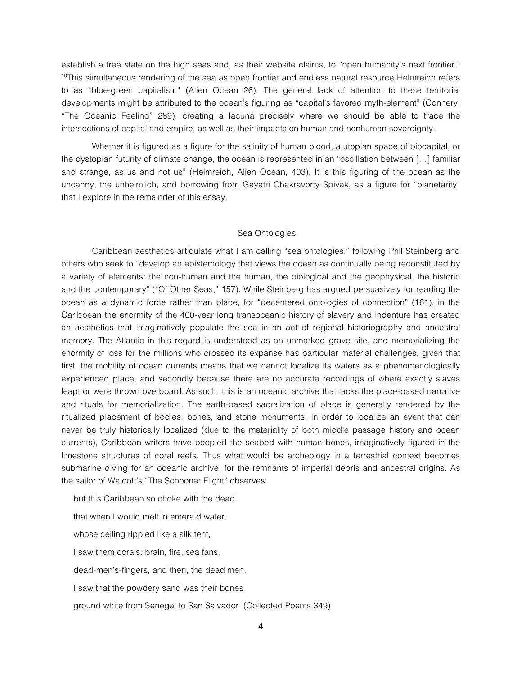establish a free state on the high seas and, as their website claims, to "open humanity's next frontier." <sup>10</sup>This simultaneous rendering of the sea as open frontier and endless natural resource Helmreich refers to as "blue-green capitalism" (Alien Ocean 26). The general lack of attention to these territorial developments might be attributed to the ocean's figuring as "capital's favored myth-element" (Connery, "The Oceanic Feeling" 289), creating a lacuna precisely where we should be able to trace the intersections of capital and empire, as well as their impacts on human and nonhuman sovereignty.

Whether it is figured as a figure for the salinity of human blood, a utopian space of biocapital, or the dystopian futurity of climate change, the ocean is represented in an "oscillation between […] familiar and strange, as us and not us" (Helmreich, Alien Ocean, 403). It is this figuring of the ocean as the uncanny, the unheimlich, and borrowing from Gayatri Chakravorty Spivak, as a figure for "planetarity" that I explore in the remainder of this essay.

### Sea Ontologies

Caribbean aesthetics articulate what I am calling "sea ontologies," following Phil Steinberg and others who seek to "develop an epistemology that views the ocean as continually being reconstituted by a variety of elements: the non-human and the human, the biological and the geophysical, the historic and the contemporary" ("Of Other Seas," 157). While Steinberg has argued persuasively for reading the ocean as a dynamic force rather than place, for "decentered ontologies of connection" (161), in the Caribbean the enormity of the 400-year long transoceanic history of slavery and indenture has created an aesthetics that imaginatively populate the sea in an act of regional historiography and ancestral memory. The Atlantic in this regard is understood as an unmarked grave site, and memorializing the enormity of loss for the millions who crossed its expanse has particular material challenges, given that first, the mobility of ocean currents means that we cannot localize its waters as a phenomenologically experienced place, and secondly because there are no accurate recordings of where exactly slaves leapt or were thrown overboard. As such, this is an oceanic archive that lacks the place-based narrative and rituals for memorialization. The earth-based sacralization of place is generally rendered by the ritualized placement of bodies, bones, and stone monuments. In order to localize an event that can never be truly historically localized (due to the materiality of both middle passage history and ocean currents), Caribbean writers have peopled the seabed with human bones, imaginatively figured in the limestone structures of coral reefs. Thus what would be archeology in a terrestrial context becomes submarine diving for an oceanic archive, for the remnants of imperial debris and ancestral origins. As the sailor of Walcott's "The Schooner Flight" observes:

but this Caribbean so choke with the dead that when I would melt in emerald water, whose ceiling rippled like a silk tent, I saw them corals: brain, fire, sea fans, dead-men's-fingers, and then, the dead men. I saw that the powdery sand was their bones ground white from Senegal to San Salvador (Collected Poems 349)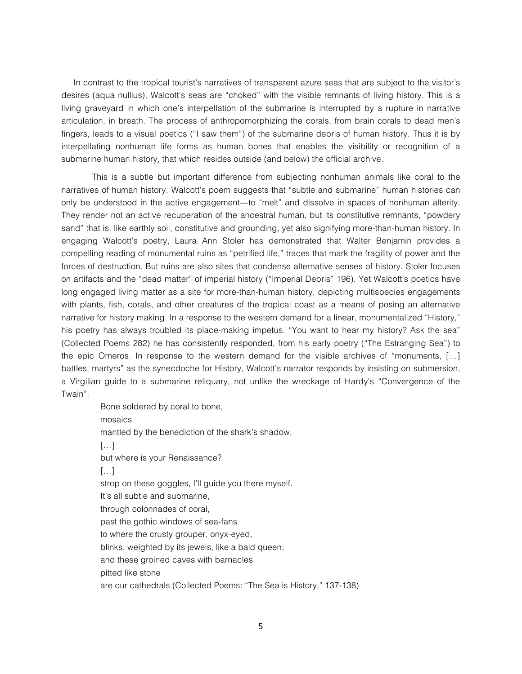In contrast to the tropical tourist's narratives of transparent azure seas that are subject to the visitor's desires (aqua nullius), Walcott's seas are "choked" with the visible remnants of living history. This is a living graveyard in which one's interpellation of the submarine is interrupted by a rupture in narrative articulation, in breath. The process of anthropomorphizing the corals, from brain corals to dead men's fingers, leads to a visual poetics ("I saw them") of the submarine debris of human history. Thus it is by interpellating nonhuman life forms as human bones that enables the visibility or recognition of a submarine human history, that which resides outside (and below) the official archive.

This is a subtle but important difference from subjecting nonhuman animals like coral to the narratives of human history. Walcott's poem suggests that "subtle and submarine" human histories can only be understood in the active engagement—to "melt" and dissolve in spaces of nonhuman alterity. They render not an active recuperation of the ancestral human, but its constitutive remnants, "powdery sand" that is, like earthly soil, constitutive and grounding, yet also signifying more-than-human history. In engaging Walcott's poetry, Laura Ann Stoler has demonstrated that Walter Benjamin provides a compelling reading of monumental ruins as "petrified life," traces that mark the fragility of power and the forces of destruction. But ruins are also sites that condense alternative senses of history. Stoler focuses on artifacts and the "dead matter" of imperial history ("Imperial Debris" 196). Yet Walcott's poetics have long engaged living matter as a site for more-than-human history, depicting multispecies engagements with plants, fish, corals, and other creatures of the tropical coast as a means of posing an alternative narrative for history making. In a response to the western demand for a linear, monumentalized "History," his poetry has always troubled its place-making impetus. "You want to hear my history? Ask the sea" (Collected Poems 282) he has consistently responded, from his early poetry ("The Estranging Sea") to the epic Omeros. In response to the western demand for the visible archives of "monuments, […] battles, martyrs" as the synecdoche for History, Walcott's narrator responds by insisting on submersion, a Virgilian guide to a submarine reliquary, not unlike the wreckage of Hardy's "Convergence of the Twain":

Bone soldered by coral to bone, mosaics mantled by the benediction of the shark's shadow, […] but where is your Renaissance? […] strop on these goggles, I'll guide you there myself. It's all subtle and submarine, through colonnades of coral, past the gothic windows of sea-fans to where the crusty grouper, onyx-eyed, blinks, weighted by its jewels, like a bald queen; and these groined caves with barnacles pitted like stone are our cathedrals (Collected Poems: "The Sea is History," 137-138)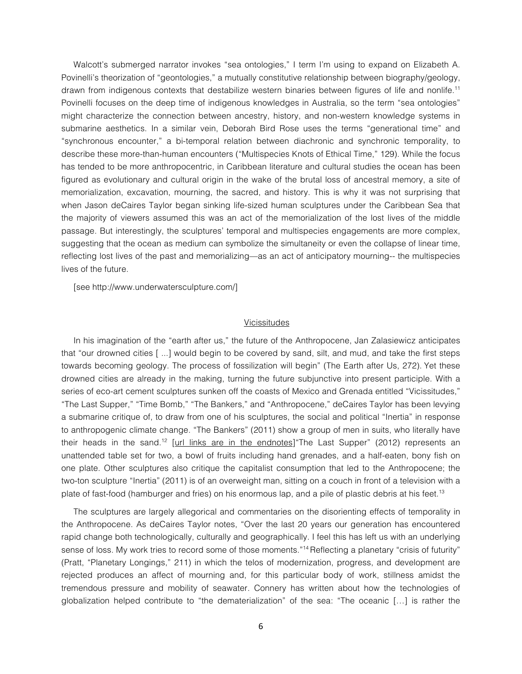Walcott's submerged narrator invokes "sea ontologies," I term I'm using to expand on Elizabeth A. Povinelli's theorization of "geontologies," a mutually constitutive relationship between biography/geology, drawn from indigenous contexts that destabilize western binaries between figures of life and nonlife.<sup>11</sup> Povinelli focuses on the deep time of indigenous knowledges in Australia, so the term "sea ontologies" might characterize the connection between ancestry, history, and non-western knowledge systems in submarine aesthetics. In a similar vein, Deborah Bird Rose uses the terms "generational time" and "synchronous encounter," a bi-temporal relation between diachronic and synchronic temporality, to describe these more-than-human encounters ("Multispecies Knots of Ethical Time," 129). While the focus has tended to be more anthropocentric, in Caribbean literature and cultural studies the ocean has been figured as evolutionary and cultural origin in the wake of the brutal loss of ancestral memory, a site of memorialization, excavation, mourning, the sacred, and history. This is why it was not surprising that when Jason deCaires Taylor began sinking life-sized human sculptures under the Caribbean Sea that the majority of viewers assumed this was an act of the memorialization of the lost lives of the middle passage. But interestingly, the sculptures' temporal and multispecies engagements are more complex, suggesting that the ocean as medium can symbolize the simultaneity or even the collapse of linear time, reflecting lost lives of the past and memorializing—as an act of anticipatory mourning-- the multispecies lives of the future.

[see http://www.underwatersculpture.com/]

# Vicissitudes

In his imagination of the "earth after us," the future of the Anthropocene, Jan Zalasiewicz anticipates that "our drowned cities [ ...] would begin to be covered by sand, silt, and mud, and take the first steps towards becoming geology. The process of fossilization will begin" (The Earth after Us, 272). Yet these drowned cities are already in the making, turning the future subjunctive into present participle. With a series of eco-art cement sculptures sunken off the coasts of Mexico and Grenada entitled "Vicissitudes," "The Last Supper," "Time Bomb," "The Bankers," and "Anthropocene," deCaires Taylor has been levying a submarine critique of, to draw from one of his sculptures, the social and political "Inertia" in response to anthropogenic climate change. "The Bankers" (2011) show a group of men in suits, who literally have their heads in the sand.<sup>12</sup> [url links are in the endnotes] The Last Supper" (2012) represents an unattended table set for two, a bowl of fruits including hand grenades, and a half-eaten, bony fish on one plate. Other sculptures also critique the capitalist consumption that led to the Anthropocene; the two-ton sculpture "Inertia" (2011) is of an overweight man, sitting on a couch in front of a television with a plate of fast-food (hamburger and fries) on his enormous lap, and a pile of plastic debris at his feet.<sup>13</sup>

The sculptures are largely allegorical and commentaries on the disorienting effects of temporality in the Anthropocene. As deCaires Taylor notes, "Over the last 20 years our generation has encountered rapid change both technologically, culturally and geographically. I feel this has left us with an underlying sense of loss. My work tries to record some of those moments."<sup>14</sup> Reflecting a planetary "crisis of futurity" (Pratt, "Planetary Longings," 211) in which the telos of modernization, progress, and development are rejected produces an affect of mourning and, for this particular body of work, stillness amidst the tremendous pressure and mobility of seawater. Connery has written about how the technologies of globalization helped contribute to "the dematerialization" of the sea: "The oceanic […] is rather the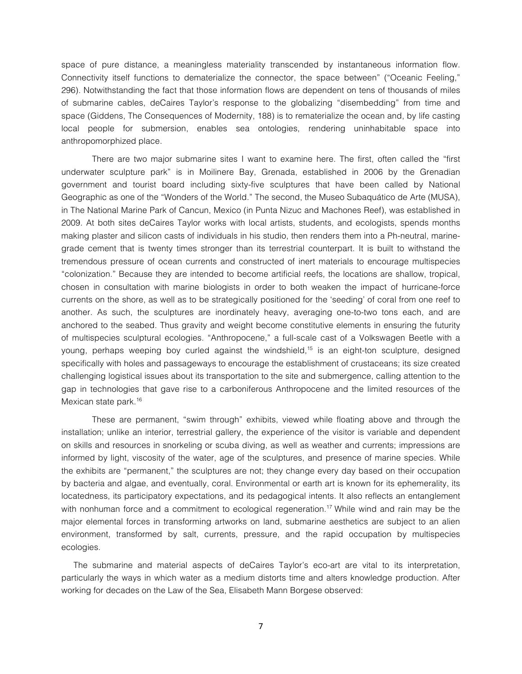space of pure distance, a meaningless materiality transcended by instantaneous information flow. Connectivity itself functions to dematerialize the connector, the space between" ("Oceanic Feeling," 296). Notwithstanding the fact that those information flows are dependent on tens of thousands of miles of submarine cables, deCaires Taylor's response to the globalizing "disembedding" from time and space (Giddens, The Consequences of Modernity, 188) is to rematerialize the ocean and, by life casting local people for submersion, enables sea ontologies, rendering uninhabitable space into anthropomorphized place.

There are two major submarine sites I want to examine here. The first, often called the "first underwater sculpture park" is in Moilinere Bay, Grenada, established in 2006 by the Grenadian government and tourist board including sixty-five sculptures that have been called by National Geographic as one of the "Wonders of the World." The second, the Museo Subaquático de Arte (MUSA), in The National Marine Park of Cancun, Mexico (in Punta Nizuc and Machones Reef), was established in 2009. At both sites deCaires Taylor works with local artists, students, and ecologists, spends months making plaster and silicon casts of individuals in his studio, then renders them into a Ph-neutral, marinegrade cement that is twenty times stronger than its terrestrial counterpart. It is built to withstand the tremendous pressure of ocean currents and constructed of inert materials to encourage multispecies "colonization." Because they are intended to become artificial reefs, the locations are shallow, tropical, chosen in consultation with marine biologists in order to both weaken the impact of hurricane-force currents on the shore, as well as to be strategically positioned for the 'seeding' of coral from one reef to another. As such, the sculptures are inordinately heavy, averaging one-to-two tons each, and are anchored to the seabed. Thus gravity and weight become constitutive elements in ensuring the futurity of multispecies sculptural ecologies. "Anthropocene," a full-scale cast of a Volkswagen Beetle with a young, perhaps weeping boy curled against the windshield, 15 is an eight-ton sculpture, designed specifically with holes and passageways to encourage the establishment of crustaceans; its size created challenging logistical issues about its transportation to the site and submergence, calling attention to the gap in technologies that gave rise to a carboniferous Anthropocene and the limited resources of the Mexican state park. 16

These are permanent, "swim through" exhibits, viewed while floating above and through the installation; unlike an interior, terrestrial gallery, the experience of the visitor is variable and dependent on skills and resources in snorkeling or scuba diving, as well as weather and currents; impressions are informed by light, viscosity of the water, age of the sculptures, and presence of marine species. While the exhibits are "permanent," the sculptures are not; they change every day based on their occupation by bacteria and algae, and eventually, coral. Environmental or earth art is known for its ephemerality, its locatedness, its participatory expectations, and its pedagogical intents. It also reflects an entanglement with nonhuman force and a commitment to ecological regeneration.<sup>17</sup> While wind and rain may be the major elemental forces in transforming artworks on land, submarine aesthetics are subject to an alien environment, transformed by salt, currents, pressure, and the rapid occupation by multispecies ecologies.

The submarine and material aspects of deCaires Taylor's eco-art are vital to its interpretation, particularly the ways in which water as a medium distorts time and alters knowledge production. After working for decades on the Law of the Sea, Elisabeth Mann Borgese observed: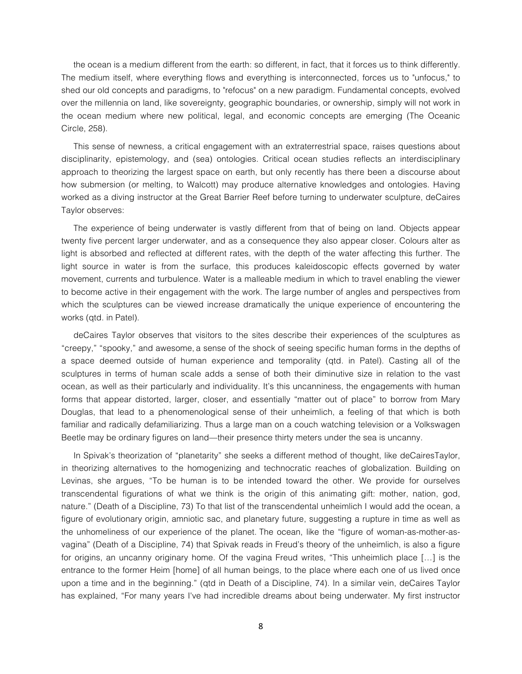the ocean is a medium different from the earth: so different, in fact, that it forces us to think differently. The medium itself, where everything flows and everything is interconnected, forces us to "unfocus," to shed our old concepts and paradigms, to "refocus" on a new paradigm. Fundamental concepts, evolved over the millennia on land, like sovereignty, geographic boundaries, or ownership, simply will not work in the ocean medium where new political, legal, and economic concepts are emerging (The Oceanic Circle, 258).

This sense of newness, a critical engagement with an extraterrestrial space, raises questions about disciplinarity, epistemology, and (sea) ontologies. Critical ocean studies reflects an interdisciplinary approach to theorizing the largest space on earth, but only recently has there been a discourse about how submersion (or melting, to Walcott) may produce alternative knowledges and ontologies. Having worked as a diving instructor at the Great Barrier Reef before turning to underwater sculpture, deCaires Taylor observes:

The experience of being underwater is vastly different from that of being on land. Objects appear twenty five percent larger underwater, and as a consequence they also appear closer. Colours alter as light is absorbed and reflected at different rates, with the depth of the water affecting this further. The light source in water is from the surface, this produces kaleidoscopic effects governed by water movement, currents and turbulence. Water is a malleable medium in which to travel enabling the viewer to become active in their engagement with the work. The large number of angles and perspectives from which the sculptures can be viewed increase dramatically the unique experience of encountering the works (qtd. in Patel).

deCaires Taylor observes that visitors to the sites describe their experiences of the sculptures as "creepy," "spooky," and awesome, a sense of the shock of seeing specific human forms in the depths of a space deemed outside of human experience and temporality (qtd. in Patel). Casting all of the sculptures in terms of human scale adds a sense of both their diminutive size in relation to the vast ocean, as well as their particularly and individuality. It's this uncanniness, the engagements with human forms that appear distorted, larger, closer, and essentially "matter out of place" to borrow from Mary Douglas, that lead to a phenomenological sense of their unheimlich, a feeling of that which is both familiar and radically defamiliarizing. Thus a large man on a couch watching television or a Volkswagen Beetle may be ordinary figures on land—their presence thirty meters under the sea is uncanny.

In Spivak's theorization of "planetarity" she seeks a different method of thought, like deCairesTaylor, in theorizing alternatives to the homogenizing and technocratic reaches of globalization. Building on Levinas, she argues, "To be human is to be intended toward the other. We provide for ourselves transcendental figurations of what we think is the origin of this animating gift: mother, nation, god, nature." (Death of a Discipline, 73) To that list of the transcendental unheimlich I would add the ocean, a figure of evolutionary origin, amniotic sac, and planetary future, suggesting a rupture in time as well as the unhomeliness of our experience of the planet. The ocean, like the "figure of woman-as-mother-asvagina" (Death of a Discipline, 74) that Spivak reads in Freud's theory of the unheimlich, is also a figure for origins, an uncanny originary home. Of the vagina Freud writes, "This unheimlich place […] is the entrance to the former Heim [home] of all human beings, to the place where each one of us lived once upon a time and in the beginning." (qtd in Death of a Discipline, 74). In a similar vein, deCaires Taylor has explained, "For many years I've had incredible dreams about being underwater. My first instructor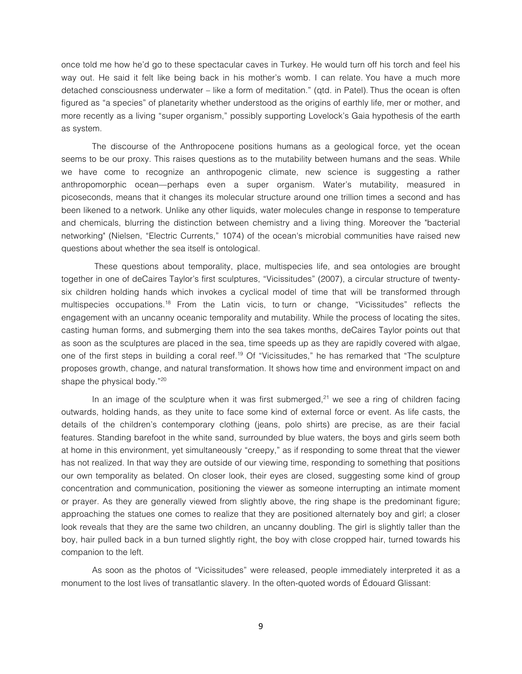once told me how he'd go to these spectacular caves in Turkey. He would turn off his torch and feel his way out. He said it felt like being back in his mother's womb. I can relate. You have a much more detached consciousness underwater – like a form of meditation." (qtd. in Patel). Thus the ocean is often figured as "a species" of planetarity whether understood as the origins of earthly life, mer or mother, and more recently as a living "super organism," possibly supporting Lovelock's Gaia hypothesis of the earth as system.

The discourse of the Anthropocene positions humans as a geological force, yet the ocean seems to be our proxy. This raises questions as to the mutability between humans and the seas. While we have come to recognize an anthropogenic climate, new science is suggesting a rather anthropomorphic ocean—perhaps even a super organism. Water's mutability, measured in picoseconds, means that it changes its molecular structure around one trillion times a second and has been likened to a network. Unlike any other liquids, water molecules change in response to temperature and chemicals, blurring the distinction between chemistry and a living thing. Moreover the "bacterial networking" (Nielsen, "Electric Currents," 1074) of the ocean's microbial communities have raised new questions about whether the sea itself is ontological.

These questions about temporality, place, multispecies life, and sea ontologies are brought together in one of deCaires Taylor's first sculptures, "Vicissitudes" (2007), a circular structure of twentysix children holding hands which invokes a cyclical model of time that will be transformed through multispecies occupations.<sup>18</sup> From the Latin vicis, to turn or change, "Vicissitudes" reflects the engagement with an uncanny oceanic temporality and mutability. While the process of locating the sites, casting human forms, and submerging them into the sea takes months, deCaires Taylor points out that as soon as the sculptures are placed in the sea, time speeds up as they are rapidly covered with algae, one of the first steps in building a coral reef.<sup>19</sup> Of "Vicissitudes," he has remarked that "The sculpture proposes growth, change, and natural transformation. It shows how time and environment impact on and shape the physical body."20

In an image of the sculpture when it was first submerged, $21$  we see a ring of children facing outwards, holding hands, as they unite to face some kind of external force or event. As life casts, the details of the children's contemporary clothing (jeans, polo shirts) are precise, as are their facial features. Standing barefoot in the white sand, surrounded by blue waters, the boys and girls seem both at home in this environment, yet simultaneously "creepy," as if responding to some threat that the viewer has not realized. In that way they are outside of our viewing time, responding to something that positions our own temporality as belated. On closer look, their eyes are closed, suggesting some kind of group concentration and communication, positioning the viewer as someone interrupting an intimate moment or prayer. As they are generally viewed from slightly above, the ring shape is the predominant figure; approaching the statues one comes to realize that they are positioned alternately boy and girl; a closer look reveals that they are the same two children, an uncanny doubling. The girl is slightly taller than the boy, hair pulled back in a bun turned slightly right, the boy with close cropped hair, turned towards his companion to the left.

As soon as the photos of "Vicissitudes" were released, people immediately interpreted it as a monument to the lost lives of transatlantic slavery. In the often-quoted words of Édouard Glissant: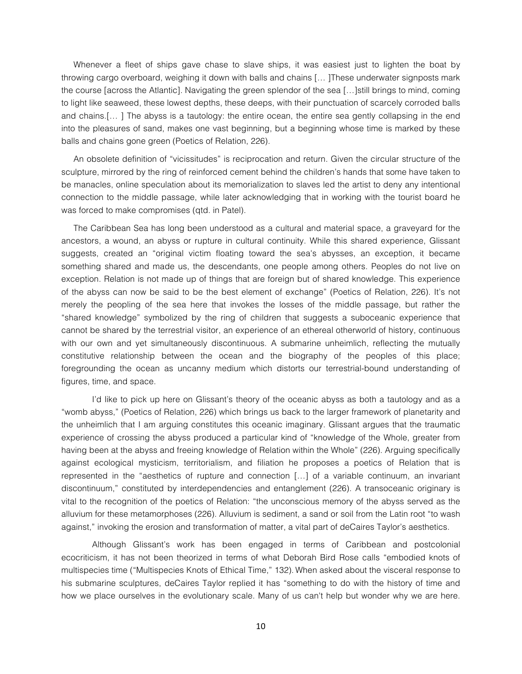Whenever a fleet of ships gave chase to slave ships, it was easiest just to lighten the boat by throwing cargo overboard, weighing it down with balls and chains [… ]These underwater signposts mark the course [across the Atlantic]. Navigating the green splendor of the sea […]still brings to mind, coming to light like seaweed, these lowest depths, these deeps, with their punctuation of scarcely corroded balls and chains.[… ] The abyss is a tautology: the entire ocean, the entire sea gently collapsing in the end into the pleasures of sand, makes one vast beginning, but a beginning whose time is marked by these balls and chains gone green (Poetics of Relation, 226).

An obsolete definition of "vicissitudes" is reciprocation and return. Given the circular structure of the sculpture, mirrored by the ring of reinforced cement behind the children's hands that some have taken to be manacles, online speculation about its memorialization to slaves led the artist to deny any intentional connection to the middle passage, while later acknowledging that in working with the tourist board he was forced to make compromises (qtd. in Patel).

The Caribbean Sea has long been understood as a cultural and material space, a graveyard for the ancestors, a wound, an abyss or rupture in cultural continuity. While this shared experience, Glissant suggests, created an "original victim floating toward the sea's abysses, an exception, it became something shared and made us, the descendants, one people among others. Peoples do not live on exception. Relation is not made up of things that are foreign but of shared knowledge. This experience of the abyss can now be said to be the best element of exchange" (Poetics of Relation, 226). It's not merely the peopling of the sea here that invokes the losses of the middle passage, but rather the "shared knowledge" symbolized by the ring of children that suggests a suboceanic experience that cannot be shared by the terrestrial visitor, an experience of an ethereal otherworld of history, continuous with our own and yet simultaneously discontinuous. A submarine unheimlich, reflecting the mutually constitutive relationship between the ocean and the biography of the peoples of this place; foregrounding the ocean as uncanny medium which distorts our terrestrial-bound understanding of figures, time, and space.

I'd like to pick up here on Glissant's theory of the oceanic abyss as both a tautology and as a "womb abyss," (Poetics of Relation, 226) which brings us back to the larger framework of planetarity and the unheimlich that I am arguing constitutes this oceanic imaginary. Glissant argues that the traumatic experience of crossing the abyss produced a particular kind of "knowledge of the Whole, greater from having been at the abyss and freeing knowledge of Relation within the Whole" (226). Arguing specifically against ecological mysticism, territorialism, and filiation he proposes a poetics of Relation that is represented in the "aesthetics of rupture and connection […] of a variable continuum, an invariant discontinuum," constituted by interdependencies and entanglement (226). A transoceanic originary is vital to the recognition of the poetics of Relation: "the unconscious memory of the abyss served as the alluvium for these metamorphoses (226). Alluvium is sediment, a sand or soil from the Latin root "to wash against," invoking the erosion and transformation of matter, a vital part of deCaires Taylor's aesthetics.

Although Glissant's work has been engaged in terms of Caribbean and postcolonial ecocriticism, it has not been theorized in terms of what Deborah Bird Rose calls "embodied knots of multispecies time ("Multispecies Knots of Ethical Time," 132). When asked about the visceral response to his submarine sculptures, deCaires Taylor replied it has "something to do with the history of time and how we place ourselves in the evolutionary scale. Many of us can't help but wonder why we are here.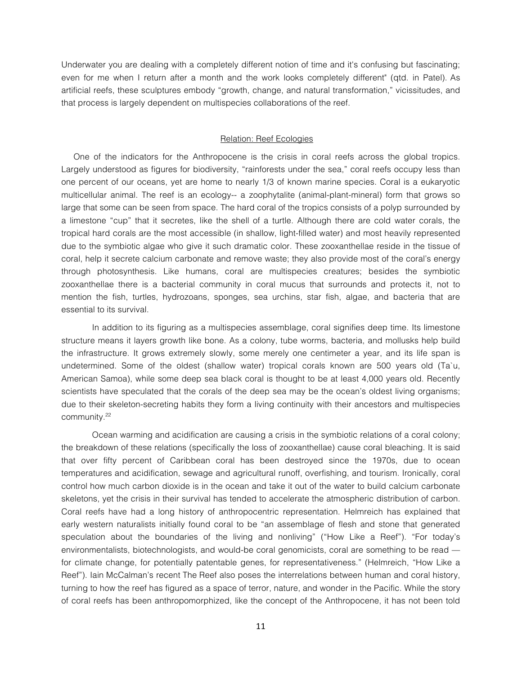Underwater you are dealing with a completely different notion of time and it's confusing but fascinating; even for me when I return after a month and the work looks completely different" (qtd. in Patel). As artificial reefs, these sculptures embody "growth, change, and natural transformation," vicissitudes, and that process is largely dependent on multispecies collaborations of the reef.

### Relation: Reef Ecologies

One of the indicators for the Anthropocene is the crisis in coral reefs across the global tropics. Largely understood as figures for biodiversity, "rainforests under the sea," coral reefs occupy less than one percent of our oceans, yet are home to nearly 1/3 of known marine species. Coral is a eukaryotic multicellular animal. The reef is an ecology-- a zoophytalite (animal-plant-mineral) form that grows so large that some can be seen from space. The hard coral of the tropics consists of a polyp surrounded by a limestone "cup" that it secretes, like the shell of a turtle. Although there are cold water corals, the tropical hard corals are the most accessible (in shallow, light-filled water) and most heavily represented due to the symbiotic algae who give it such dramatic color. These zooxanthellae reside in the tissue of coral, help it secrete calcium carbonate and remove waste; they also provide most of the coral's energy through photosynthesis. Like humans, coral are multispecies creatures; besides the symbiotic zooxanthellae there is a bacterial community in coral mucus that surrounds and protects it, not to mention the fish, turtles, hydrozoans, sponges, sea urchins, star fish, algae, and bacteria that are essential to its survival.

In addition to its figuring as a multispecies assemblage, coral signifies deep time. Its limestone structure means it layers growth like bone. As a colony, tube worms, bacteria, and mollusks help build the infrastructure. It grows extremely slowly, some merely one centimeter a year, and its life span is undetermined. Some of the oldest (shallow water) tropical corals known are 500 years old (Ta`u, American Samoa), while some deep sea black coral is thought to be at least 4,000 years old. Recently scientists have speculated that the corals of the deep sea may be the ocean's oldest living organisms; due to their skeleton-secreting habits they form a living continuity with their ancestors and multispecies community.<sup>22</sup>

Ocean warming and acidification are causing a crisis in the symbiotic relations of a coral colony; the breakdown of these relations (specifically the loss of zooxanthellae) cause coral bleaching. It is said that over fifty percent of Caribbean coral has been destroyed since the 1970s, due to ocean temperatures and acidification, sewage and agricultural runoff, overfishing, and tourism. Ironically, coral control how much carbon dioxide is in the ocean and take it out of the water to build calcium carbonate skeletons, yet the crisis in their survival has tended to accelerate the atmospheric distribution of carbon. Coral reefs have had a long history of anthropocentric representation. Helmreich has explained that early western naturalists initially found coral to be "an assemblage of flesh and stone that generated speculation about the boundaries of the living and nonliving" ("How Like a Reef"). "For today's environmentalists, biotechnologists, and would-be coral genomicists, coral are something to be read for climate change, for potentially patentable genes, for representativeness." (Helmreich, "How Like a Reef"). Iain McCalman's recent The Reef also poses the interrelations between human and coral history, turning to how the reef has figured as a space of terror, nature, and wonder in the Pacific. While the story of coral reefs has been anthropomorphized, like the concept of the Anthropocene, it has not been told

11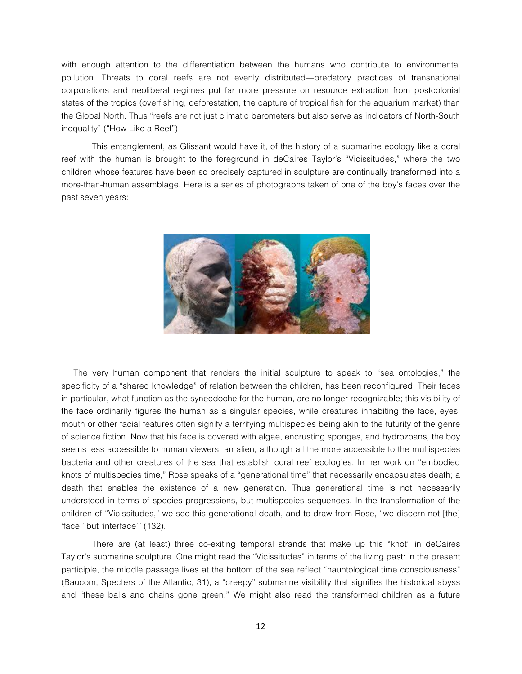with enough attention to the differentiation between the humans who contribute to environmental pollution. Threats to coral reefs are not evenly distributed—predatory practices of transnational corporations and neoliberal regimes put far more pressure on resource extraction from postcolonial states of the tropics (overfishing, deforestation, the capture of tropical fish for the aquarium market) than the Global North. Thus "reefs are not just climatic barometers but also serve as indicators of North-South inequality" ("How Like a Reef")

This entanglement, as Glissant would have it, of the history of a submarine ecology like a coral reef with the human is brought to the foreground in deCaires Taylor's "Vicissitudes," where the two children whose features have been so precisely captured in sculpture are continually transformed into a more-than-human assemblage. Here is a series of photographs taken of one of the boy's faces over the past seven years:



The very human component that renders the initial sculpture to speak to "sea ontologies," the specificity of a "shared knowledge" of relation between the children, has been reconfigured. Their faces in particular, what function as the synecdoche for the human, are no longer recognizable; this visibility of the face ordinarily figures the human as a singular species, while creatures inhabiting the face, eyes, mouth or other facial features often signify a terrifying multispecies being akin to the futurity of the genre of science fiction. Now that his face is covered with algae, encrusting sponges, and hydrozoans, the boy seems less accessible to human viewers, an alien, although all the more accessible to the multispecies bacteria and other creatures of the sea that establish coral reef ecologies. In her work on "embodied knots of multispecies time," Rose speaks of a "generational time" that necessarily encapsulates death; a death that enables the existence of a new generation. Thus generational time is not necessarily understood in terms of species progressions, but multispecies sequences. In the transformation of the children of "Vicissitudes," we see this generational death, and to draw from Rose, "we discern not [the] 'face,' but 'interface'" (132).

There are (at least) three co-exiting temporal strands that make up this "knot" in deCaires Taylor's submarine sculpture. One might read the "Vicissitudes" in terms of the living past: in the present participle, the middle passage lives at the bottom of the sea reflect "hauntological time consciousness" (Baucom, Specters of the Atlantic, 31), a "creepy" submarine visibility that signifies the historical abyss and "these balls and chains gone green." We might also read the transformed children as a future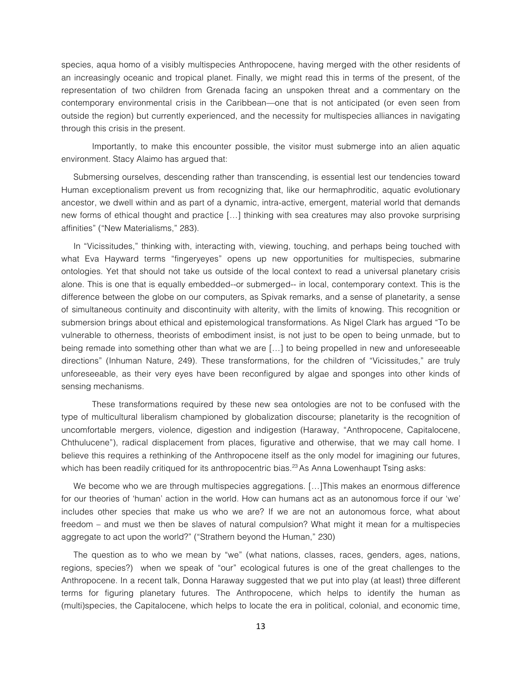species, aqua homo of a visibly multispecies Anthropocene, having merged with the other residents of an increasingly oceanic and tropical planet. Finally, we might read this in terms of the present, of the representation of two children from Grenada facing an unspoken threat and a commentary on the contemporary environmental crisis in the Caribbean—one that is not anticipated (or even seen from outside the region) but currently experienced, and the necessity for multispecies alliances in navigating through this crisis in the present.

Importantly, to make this encounter possible, the visitor must submerge into an alien aquatic environment. Stacy Alaimo has argued that:

Submersing ourselves, descending rather than transcending, is essential lest our tendencies toward Human exceptionalism prevent us from recognizing that, like our hermaphroditic, aquatic evolutionary ancestor, we dwell within and as part of a dynamic, intra-active, emergent, material world that demands new forms of ethical thought and practice […] thinking with sea creatures may also provoke surprising affinities" ("New Materialisms," 283).

In "Vicissitudes," thinking with, interacting with, viewing, touching, and perhaps being touched with what Eva Hayward terms "fingeryeyes" opens up new opportunities for multispecies, submarine ontologies. Yet that should not take us outside of the local context to read a universal planetary crisis alone. This is one that is equally embedded--or submerged-- in local, contemporary context. This is the difference between the globe on our computers, as Spivak remarks, and a sense of planetarity, a sense of simultaneous continuity and discontinuity with alterity, with the limits of knowing. This recognition or submersion brings about ethical and epistemological transformations. As Nigel Clark has argued "To be vulnerable to otherness, theorists of embodiment insist, is not just to be open to being unmade, but to being remade into something other than what we are […] to being propelled in new and unforeseeable directions" (Inhuman Nature, 249). These transformations, for the children of "Vicissitudes," are truly unforeseeable, as their very eyes have been reconfigured by algae and sponges into other kinds of sensing mechanisms.

These transformations required by these new sea ontologies are not to be confused with the type of multicultural liberalism championed by globalization discourse; planetarity is the recognition of uncomfortable mergers, violence, digestion and indigestion (Haraway, "Anthropocene, Capitalocene, Chthulucene"), radical displacement from places, figurative and otherwise, that we may call home. I believe this requires a rethinking of the Anthropocene itself as the only model for imagining our futures, which has been readily critiqued for its anthropocentric bias.<sup>23</sup> As Anna Lowenhaupt Tsing asks:

We become who we are through multispecies aggregations. [...] This makes an enormous difference for our theories of 'human' action in the world. How can humans act as an autonomous force if our 'we' includes other species that make us who we are? If we are not an autonomous force, what about freedom – and must we then be slaves of natural compulsion? What might it mean for a multispecies aggregate to act upon the world?" ("Strathern beyond the Human," 230)

The question as to who we mean by "we" (what nations, classes, races, genders, ages, nations, regions, species?) when we speak of "our" ecological futures is one of the great challenges to the Anthropocene. In a recent talk, Donna Haraway suggested that we put into play (at least) three different terms for figuring planetary futures. The Anthropocene, which helps to identify the human as (multi)species, the Capitalocene, which helps to locate the era in political, colonial, and economic time,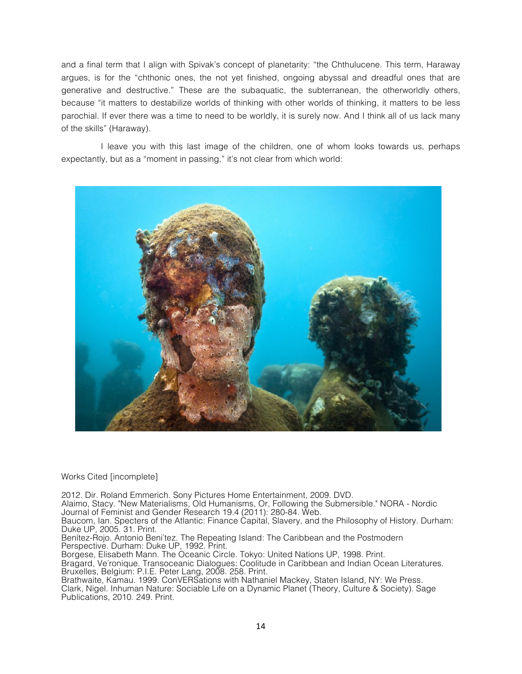and a final term that I align with Spivak's concept of planetarity: "the Chthulucene. This term, Haraway argues, is for the "chthonic ones, the not yet finished, ongoing abyssal and dreadful ones that are generative and destructive." These are the subaquatic, the subterranean, the otherworldly others, because "it matters to destabilize worlds of thinking with other worlds of thinking, it matters to be less parochial. If ever there was a time to need to be worldly, it is surely now. And I think all of us lack many of the skills" (Haraway).

I leave you with this last image of the children, one of whom looks towards us, perhaps expectantly, but as a "moment in passing," it's not clear from which world:



Works Cited [incomplete]

2012. Dir. Roland Emmerich. Sony Pictures Home Entertainment, 2009. DVD.

Alaimo, Stacy. "New Materialisms, Old Humanisms, Or, Following the Submersible." NORA - Nordic Journal of Feminist and Gender Research 19.4 (2011): 280-84. Web.

Baucom, Ian. Specters of the Atlantic: Finance Capital, Slavery, and the Philosophy of History. Durham: Duke UP, 2005. 31. Print.

Benítez-Rojo. Antonio Benítez. The Repeating Island: The Caribbean and the Postmodern Perspective. Durham: Duke UP, 1992. Print.

Borgese, Elisabeth Mann. The Oceanic Circle. Tokyo: United Nations UP, 1998. Print.

Bragard, Véronique. Transoceanic Dialogues: Coolitude in Caribbean and Indian Ocean Literatures. Bruxelles, Belgium: P.I.E. Peter Lang, 2008. 258. Print.

Brathwaite, Kamau. 1999. ConVERSations with Nathaniel Mackey, Staten Island, NY: We Press. Clark, Nigel. Inhuman Nature: Sociable Life on a Dynamic Planet (Theory, Culture & Society). Sage Publications, 2010. 249. Print.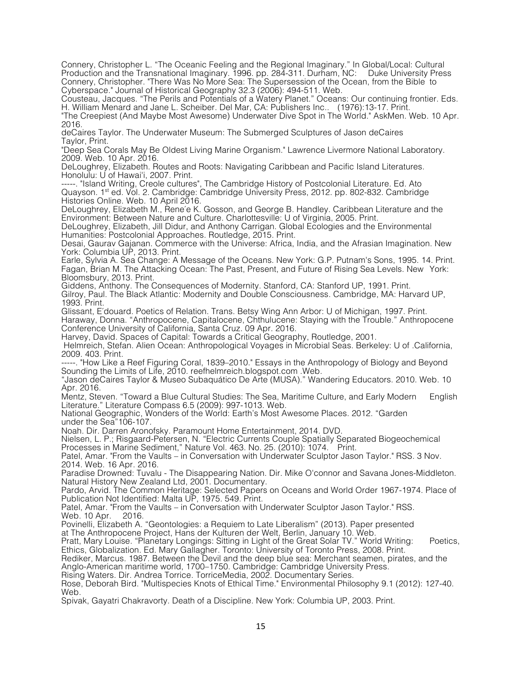Connery, Christopher L. "The Oceanic Feeling and the Regional Imaginary." In Global/Local: Cultural Production and the Transnational Imaginary. 1996. pp. 284-311. Durham, NC: Duke University Press Connery, Christopher. "There Was No More Sea: The Supersession of the Ocean, from the Bible to Cyberspace." Journal of Historical Geography 32.3 (2006): 494-511. Web.

Cousteau, Jacques. "The Perils and Potentials of a Watery Planet." Oceans: Our continuing frontier. Eds. H. William Menard and Jane L. Scheiber. Del Mar, CA: Publishers Inc.. (1976):13-17. Print.

"The Creepiest (And Maybe Most Awesome) Underwater Dive Spot in The World." AskMen. Web. 10 Apr. 2016.

deCaires Taylor. The Underwater Museum: The Submerged Sculptures of Jason deCaires Taylor, Print.

"Deep Sea Corals May Be Oldest Living Marine Organism." Lawrence Livermore National Laboratory. 2009. Web. 10 Apr. 2016.

DeLoughrey, Elizabeth. Routes and Roots: Navigating Caribbean and Pacific Island Literatures. Honolulu: U of Hawai'i, 2007. Print.

-----. "Island Writing, Creole cultures", The Cambridge History of Postcolonial Literature. Ed. Ato Quayson. 1<sup>st</sup> ed. Vol. 2. Cambridge: Cambridge University Press, 2012. pp. 802-832. Cambridge Histories Online. Web. 10 April 2016.

DeLoughrey, Elizabeth M., Rene<sup>o</sup> K. Gosson, and George B. Handley. Caribbean Literature and the Environment: Between Nature and Culture. Charlottesville: U of Virginia, 2005. Print.

DeLoughrey, Elizabeth, Jill Didur, and Anthony Carrigan. Global Ecologies and the Environmental Humanities: Postcolonial Approaches. Routledge, 2015. Print.

Desai, Gaurav Gajanan. Commerce with the Universe: Africa, India, and the Afrasian Imagination. New York: Columbia UP, 2013. Print.

Earle, Sylvia A. Sea Change: A Message of the Oceans. New York: G.P. Putnam's Sons, 1995. 14. Print. Fagan, Brian M. The Attacking Ocean: The Past, Present, and Future of Rising Sea Levels. New York: Bloomsbury, 2013. Print.

Giddens, Anthony. The Consequences of Modernity. Stanford, CA: Stanford UP, 1991. Print. Gilroy, Paul. The Black Atlantic: Modernity and Double Consciousness. Cambridge, MA: Harvard UP,

1993. Print.

Glissant, Édouard. Poetics of Relation. Trans. Betsy Wing Ann Arbor: U of Michigan, 1997. Print. Haraway, Donna. "Anthropocene, Capitalocene, Chthulucene: Staying with the Trouble." Anthropocene Conference University of California, Santa Cruz. 09 Apr. 2016.

Harvey, David. Spaces of Capital: Towards a Critical Geography, Routledge, 2001.

Helmreich, Stefan. Alien Ocean: Anthropological Voyages in Microbial Seas. Berkeley: U of .California,

<sup>2022</sup>. "How Like a Reef Figuring Coral, 1839–2010." Essays in the Anthropology of Biology and Beyond Sounding the Limits of Life, 2010. reefhelmreich.blogspot.com .Web.

"Jason deCaires Taylor & Museo Subaquático De Arte (MUSA)." Wandering Educators. 2010. Web. 10 Apr. 2016.

Mentz, Steven. "Toward a Blue Cultural Studies: The Sea, Maritime Culture, and Early Modern English Literature." Literature Compass 6.5 (2009): 997-1013. Web.

National Geographic, Wonders of the World: Earth's Most Awesome Places. 2012. "Garden under the Sea"106-107.

Noah. Dir. Darren Aronofsky. Paramount Home Entertainment, 2014. DVD.

Nielsen, L. P.; Risgaard-Petersen, N. "Electric Currents Couple Spatially Separated Biogeochemical Processes in Marine Sediment," Nature Vol. 463. No. 25. (2010): 1074. Print.

Patel, Amar. "From the Vaults – in Conversation with Underwater Sculptor Jason Taylor." RSS. 3 Nov. 2014. Web. 16 Apr. 2016.

Paradise Drowned: Tuvalu - The Disappearing Nation. Dir. Mike O'connor and Savana Jones-Middleton. Natural History New Zealand Ltd, 2001. Documentary.

Pardo, Arvid. The Common Heritage: Selected Papers on Oceans and World Order 1967-1974. Place of Publication Not Identified: Malta UP, 1975. 549. Print.

Patel, Amar. "From the Vaults – in Conversation with Underwater Sculptor Jason Taylor." RSS. Web. 10 Apr. 2016.

Povinelli, Elizabeth A. "Geontologies: a Requiem to Late Liberalism" (2013). Paper presented at The Anthropocene Project, Hans der Kulturen der Welt, Berlin, January 10. Web.

Pratt, Mary Louise. "Planetary Longings: Sitting in Light of the Great Solar TV." World Writing: Poetics, Ethics, Globalization. Ed. Mary Gallagher. Toronto: University of Toronto Press, 2008. Print.

Rediker, Marcus. 1987. Between the Devil and the deep blue sea: Merchant seamen, pirates, and the Anglo-American maritime world, 1700–1750. Cambridge: Cambridge University Press.

Rising Waters. Dir. Andrea Torrice. TorriceMedia, 2002. Documentary Series.

Rose, Deborah Bird. "Multispecies Knots of Ethical Time." Environmental Philosophy 9.1 (2012): 127-40. Web.

Spivak, Gayatri Chakravorty. Death of a Discipline. New York: Columbia UP, 2003. Print.